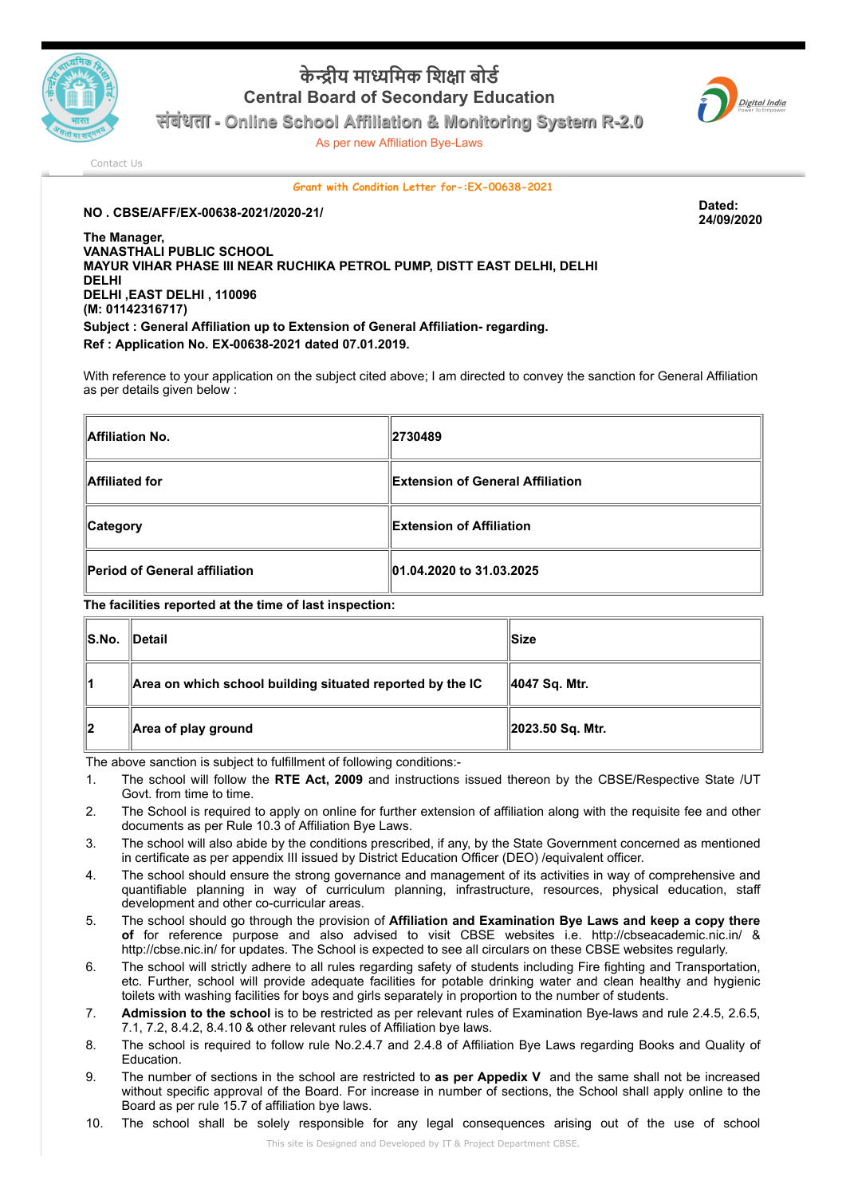

## **केीय मािमक िशा बोड Central Board of Secondary Education**



**संबंधता - Online School Affiliation & Monitoring System R-2.0**

As per new Affiliation Bye-Laws

[Contact Us](http://cbseaff.nic.in/cbse_aff/help.aspx)

## **Grant with Condition Letter for-:EX-00638-2021**

**24/09/2020**

## **NO . CBSE/AFF/EX-00638-2021/2020-21/ Dated:**

**The Manager, VANASTHALI PUBLIC SCHOOL MAYUR VIHAR PHASE III NEAR RUCHIKA PETROL PUMP, DISTT EAST DELHI, DELHI DELHI DELHI ,EAST DELHI , 110096 (M: 01142316717) Subject : General Affiliation up to Extension of General Affiliation- regarding. Ref : Application No. EX-00638-2021 dated 07.01.2019.**

With reference to your application on the subject cited above; I am directed to convey the sanction for General Affiliation as per details given below :

| Affiliation No.               | $\parallel$ 2730489               |  |
|-------------------------------|-----------------------------------|--|
| Affiliated for                | ∥Extension of General Affiliation |  |
| <b>Category</b>               | <b>Extension of Affiliation</b>   |  |
| Period of General affiliation | 01.04.2020 to 31.03.2025          |  |

**The facilities reported at the time of last inspection:**

| IS.No. | ∥Detail                                                   | llSize               |
|--------|-----------------------------------------------------------|----------------------|
| 11     | Area on which school building situated reported by the IC | 4047 Sq. Mtr.        |
| ∥2     | Area of play ground                                       | $\ 2023.50 Sq.$ Mtr. |

The above sanction is subject to fulfillment of following conditions:-

- 1. The school will follow the **RTE Act, 2009** and instructions issued thereon by the CBSE/Respective State /UT Govt. from time to time.
- 2. The School is required to apply on online for further extension of affiliation along with the requisite fee and other documents as per Rule 10.3 of Affiliation Bye Laws.
- 3. The school will also abide by the conditions prescribed, if any, by the State Government concerned as mentioned in certificate as per appendix III issued by District Education Officer (DEO) /equivalent officer.
- 4. The school should ensure the strong governance and management of its activities in way of comprehensive and quantifiable planning in way of curriculum planning, infrastructure, resources, physical education, staff development and other co-curricular areas.
- 5. The school should go through the provision of **Affiliation and Examination Bye Laws and keep a copy there of** for reference purpose and also advised to visit CBSE websites i.e. http://cbseacademic.nic.in/ & http://cbse.nic.in/ for updates. The School is expected to see all circulars on these CBSE websites regularly.
- 6. The school will strictly adhere to all rules regarding safety of students including Fire fighting and Transportation, etc. Further, school will provide adequate facilities for potable drinking water and clean healthy and hygienic toilets with washing facilities for boys and girls separately in proportion to the number of students.
- 7. **Admission to the school** is to be restricted as per relevant rules of Examination Bye-laws and rule 2.4.5, 2.6.5, 7.1, 7.2, 8.4.2, 8.4.10 & other relevant rules of Affiliation bye laws.
- 8. The school is required to follow rule No.2.4.7 and 2.4.8 of Affiliation Bye Laws regarding Books and Quality of Education.
- 9. The number of sections in the school are restricted to **as per Appedix V** and the same shall not be increased without specific approval of the Board. For increase in number of sections, the School shall apply online to the Board as per rule 15.7 of affiliation bye laws.
- 10. The school shall be solely responsible for any legal consequences arising out of the use of school